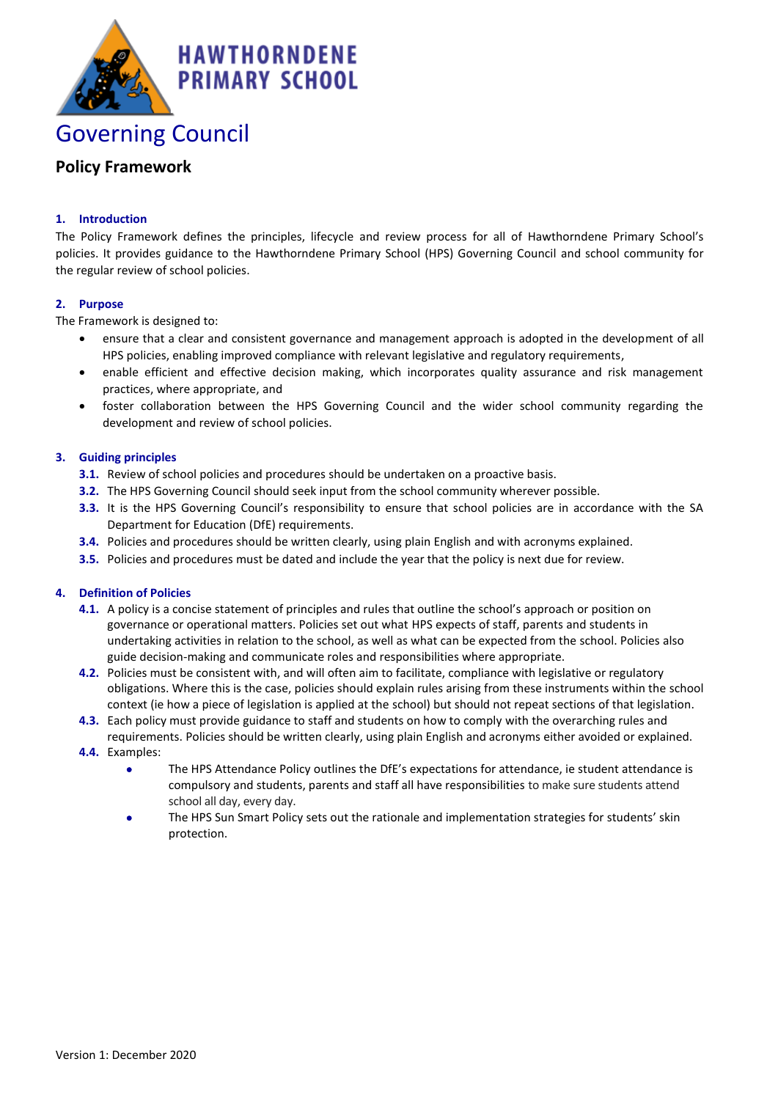

# **Policy Framework**

## **1. Introduction**

The Policy Framework defines the principles, lifecycle and review process for all of Hawthorndene Primary School's policies. It provides guidance to the Hawthorndene Primary School (HPS) Governing Council and school community for the regular review of school policies.

#### **2. Purpose**

The Framework is designed to:

- ensure that a clear and consistent governance and management approach is adopted in the development of all HPS policies, enabling improved compliance with relevant legislative and regulatory requirements,
- enable efficient and effective decision making, which incorporates quality assurance and risk management practices, where appropriate, and
- foster collaboration between the HPS Governing Council and the wider school community regarding the development and review of school policies.

#### **3. Guiding principles**

- **3.1.** Review of school policies and procedures should be undertaken on a proactive basis.
- **3.2.** The HPS Governing Council should seek input from the school community wherever possible.
- **3.3.** It is the HPS Governing Council's responsibility to ensure that school policies are in accordance with the SA Department for Education (DfE) requirements.
- **3.4.** Policies and procedures should be written clearly, using plain English and with acronyms explained.
- **3.5.** Policies and procedures must be dated and include the year that the policy is next due for review.

#### **4. Definition of Policies**

- **4.1.** A policy is a concise statement of principles and rules that outline the school's approach or position on governance or operational matters. Policies set out what HPS expects of staff, parents and students in undertaking activities in relation to the school, as well as what can be expected from the school. Policies also guide decision-making and communicate roles and responsibilities where appropriate.
- **4.2.** Policies must be consistent with, and will often aim to facilitate, compliance with legislative or regulatory obligations. Where this is the case, policies should explain rules arising from these instruments within the school context (ie how a piece of legislation is applied at the school) but should not repeat sections of that legislation.
- **4.3.** Each policy must provide guidance to staff and students on how to comply with the overarching rules and requirements. Policies should be written clearly, using plain English and acronyms either avoided or explained.
- **4.4.** Examples:
	- The HPS Attendance Policy outlines the DfE's expectations for attendance, ie student attendance is compulsory and students, parents and staff all have responsibilities to make sure students attend school all day, every day.
	- The HPS Sun Smart Policy sets out the rationale and implementation strategies for students' skin protection.